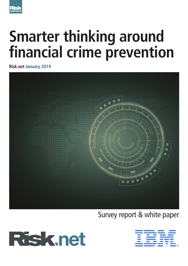

# **Smarter thinking around financial crime prevention**

**Risk.net January 2019**



Survey report & white paper



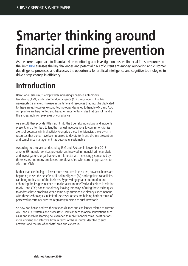# **Smarter thinking around financial crime prevention**

As the current approach to financial crime monitoring and investigation pushes financial firms' resources to the limit, IBM assesses the key challenges and potential risks of current anti-money laundering and customer due diligence processes, and discusses the opportunity for artificial intelligence and cognitive technologies to drive a step-change in efficiency

# **Introduction**

Banks of all sizes must comply with increasingly onerous anti-money laundering (AML) and customer due diligence (CDD) regulations. This has necessitated a marked increase in the time and resources that must be dedicated to these areas. However, existing technologies designed to handle AML and CDD compliance are fragmented and based on rudimentary rules that cannot handle this increasingly complex area of compliance.

As a result, they provide little insight into the true risks individuals and incidents present, and often lead to lengthy manual investigations to confirm or dismiss alerts of potential criminal activity. Alongside these inefficiencies, the growth in resources that banks have been required to devote to financial crime prevention and compliance management has become unsustainable.

According to a survey conducted by IBM and Risk.net in November 2018 among 89 financial services professionals involved in financial crime analysis and investigations, organisations in this sector are increasingly concerned by these issues and many employees are dissatisfied with current approaches to AML and CDD.

Rather than continuing to invest more resources in this area, however, banks are beginning to see the benefits artificial intelligence (AI) and cognitive capabilities can bring to this part of the business. By providing greater automation and enhancing the insights needed to make faster, more effective decisions in relation to AML and CDD, banks are already looking into ways of using these techniques to address these problems. While some organisations are already experimenting with these technologies in limited use cases, others are holding back because of perceived uncertainty over the regulatory reaction to such new tools.

So how can banks address their responsibilities and challenges related to current AML and CDD systems and processes? How can technological innovations such as AI and machine learning be leveraged to make financial crime investigations more efficient and effective, both in terms of the resources devoted to such activities and the use of analysts' time and expertise?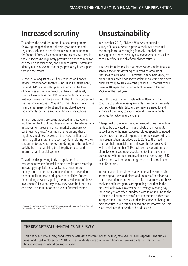### **Increased scrutiny**

To address the need for greater financial transparency following the global financial crisis, governments and regulators ushered in a rapid expansion of requirements for financial firms, which continues to this day. As a result there is increasing regulatory pressure on banks to monitor and tackle financial crime, and enhance current systems to identify issues or events that might previously have slipped through the cracks.

As well as a long list of AML fines imposed on financial services organisations recently – including Deutsche Bank, Citi and BNP Paribas – this pressure comes in the form of new rules and requirements that banks must satisfy. One such example is the CDD Requirements for Financial Institutions rule – an amendment to the US Bank Secrecy Act that became effective in May 2018. This rule aims to improve financial transparency by strengthening due diligence requirements for banks and other financial institutions.1

Similar regulations are being adopted in jurisdictions worldwide. The list of countries signing up to international initiatives to increase financial market transparency continues to grow. A common theme among these regulatory regimes focuses on the need for financial firms to gather, store and report key data relating to their customers to prevent money laundering or other unlawful activity from jeopardising the integrity of local and international financial systems.

To address this growing body of regulation in an environment where financial crime activities are becoming increasingly sophisticated, banks must invest more money, time and resources in detection and prevention to continually improve and update capabilities. But are financial organisations getting the most value out of these investments? How do they know they have the best tools and resources to monitor and prevent financial crime?

*<sup>1</sup> Financial Crimes Enforcement Network,* FinCEN reminds financial institutions that the CDD rule becomes effective today*, May 2018, https://bit.ly/2C1gQsF*

# **Unsustainability**

In November 2018, IBM and Risk.net conducted a survey of financial services professionals working in risk and compliance roles ranging from AML analysis and investigation to cyber-security risk management, as well as chief risk officers and chief compliance officers.

It is clear from the results that organisations in the financial services sector are devoting an increasing amount of resources to AML and CDD activities. Nearly half (46%) of organisations polled had increased financial crime employee numbers by up to 10% over the previous 12 months, while three in 10 expect further growth of between 11% and 25% over the next year.

But is this state of affairs sustainable? Banks cannot continue to push increasing amounts of resources towards such activities indefinitely, and so there is a need to find a more efficient way to satisfy regulatory requirements designed to tackle financial crime.

A large part of the investment in financial crime prevention tends to be dedicated to hiring analysts and investigators, as well as other human resources-related spending. Indeed, nearly three-quarters of respondents to the survey estimate their organisation has added up to 25% to the head count of their financial crime unit over the last year. And while a similar number (74%) believe the current number of analysts or investigators dedicated to financial crime prevention within their organisation is sufficient, only 16% believe there will be no further growth in this area in the next 12 months.

In recent years, banks have made material investments in improving skill sets and hiring additional staff for financial crime prevention teams. As such, it is crucial to ensure these analysts and investigators are spending their time in the most valuable way. However, on an average working day these analysts are often inundated with tasks relating to the collection, collation and transfer of information rather than interpretation. This means spending less time analysing and making critical risk decisions based on that information. This is an imbalance that needs to be addressed.

### THE RISK NET/IRM FINANCIAL CRIME SURVEY

This financial crime survey, conducted by Risk.net and comissioned by IBM, received 89 valid responses. The survey was conducted in November 2018, and respondents were drawn from financial services professionals involved in financial crime investigation and analysis.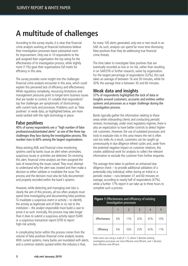# **A multitude of challenges**

According to the survey results, it is clear that financial crime analysts working at financial institutions believe their investigation processes leave substantial room for improvement. Only one in 10 respondents to the poll assigned their organisation the top rating for the effectiveness of its investigation process, while slightly more (11%) gave their organisations full marks for efficiency in this area.

The survey provides some insight into the challenges financial crime analysts encounter in this area, which could explain this perceived lack of efficiency and effectiveness. While regulatory complexity, resourcing limitations and management pressures point to longer-term business issues that are harder to control, it's notable that respondents' top five challenges are symptomatic of shortcomings with current tools and processes. Problems such as 'false positives' or weak data, as highlighted below, are more easily tackled with the right technology in place:

### **False positives**

40% of survey respondents see a "high number of false positives/unsubstantiated alerts" as one of the three top challenges they face during the investigation process. This number rises to 60% among the largest organisations.

Many existing AML and financial crime monitoring systems used by banks issue an alert when anomalies, suspicious issues or activities are detected. On receiving this alert, financial crime analysts are then assigned the task of researching the issues raised. They must attempt to understand why the alert was created and then make a decision to either validate or invalidate the issue. The process and the decision must also be fully documented and properly recorded within the bank's systems.

However, while detecting and managing real risks is clearly the aim of this process, all too often analysts must spend time investigating and documenting false positives. To invalidate a suspicious event or activity – to identify the activity as legitimate and of little or no risk to the institution – the analyst responsible must build a case to prove it as such. Ironically, this process may take longer than it does to submit a suspicious activity report (SAR) or a suspicious transaction report (STR) to report high-risk activity.

A complicating factor within this process comes from the volume of false positives financial crime analysts receive. With current systems, many banks are inundated with alerts, and a common statistic quoted within the industry is that,

for every 100 alerts generated, only one or two result in an SAR. As such, analysts can spend far more time dismissing false positives than they do addressing true financial crime threats.

The time taken to investigate false positives that are eventually recorded as low or no risk, rather than resulting in an SAR/STR or further research, varies by organisation. For the largest percentage of respondents (32%), this task takes an average of between 16 and 30 minutes, while for 30% the average time is between 30 and 60 minutes.

### **Weak data and insights**

37% of respondents highlighted the lack of data or insights around customers, accounts and entities within systems and processes as a major challenge during the investigation process.

Banks typically gather the information relating to these areas while onboarding clients and conducting periodic reviews. Increasingly, under most regulatory regimes, there is also an expectation to have better controls to detect higherrisk customers. However, the use of outdated processes and tools to evaluate risks in this area means the net is often cast too wide. As a result, customers can be caught up unnecessarily in due diligence refresh cycles and, aside from the potential negative impact on customer relations, this creates additional work for analysts to collect the relevant information to exclude the customer from further enquiries.

The average time taken to perform an enhanced due diligence check – to provide additional validation of a potentially risky individual, either during an initial or a periodic review – runs between 31 and 60 minutes on average, according to nearly half of respondents (47%), while a further 17% report it can take up to three hours to complete such a process.

| <b>Figure 1</b> Effectiveness and efficiency of existing | investigation processes |     |     |     |     |
|----------------------------------------------------------|-------------------------|-----|-----|-----|-----|
|                                                          |                         | 2   | 3   |     | 5   |
| Effectiveness                                            | 6%                      | 11% | 32% | 42% | 10% |
| Efficiency                                               | 6%                      | 16% | 25% | 42% | 11% |

Votes were cast using a scale of 1–5, where 5 denotes existing investigation processes are most effective and efficient, and 1 denotes least effective and efficient.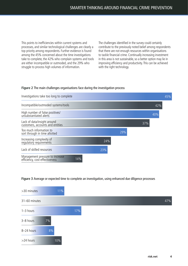This points to inefficiencies within current systems and processes, and similar technological challenges are clearly a top priority among respondents. Further evidence is found among the 45% concerned about the time investigations take to complete, the 42% who complain systems and tools are either incompatible or outmoded, and the 29% who struggle to process high volumes of information.

The challenges identified in the survey could certainly contribute to the previously noted belief among respondents that there are not enough resources within organisations to tackle financial crime. Continually increasing investment in this area is not sustainable, so a better option may lie in improving efficiency and productivity. This can be achieved with the right technology.

#### **Figure 2** The main challenges organisations face during the investigation process



**Figure 3** Average or expected time to complete an investigation, using enhanced due diligence processes

| >30 minutes   |    | 11% |  |
|---------------|----|-----|--|
| 31-60 minutes |    |     |  |
| $1 - 3$ hours |    |     |  |
| 3-8 hours     | 7% |     |  |
| 8-24 hours    | 8% |     |  |
| >24 hours     |    | 10% |  |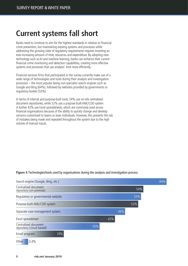# **Current systems fall short**

Banks need to continue to aim for the highest standards in relation to financial crime prevention, but maintaining existing systems and processes while addressing the growing slate of regulatory requirements requires investing an ever-increasing amount of time, resources and expenditure. By adopting new technology such as AI and machine learning, banks can enhance their current financial crime monitoring and detection capabilities, creating more effective systems and processes that use analysts' time more efficiently.

Financial services firms that participated in the survey currently make use of a wide range of technologies and tools during their analysis and investigation processes – the most popular being non-specialist search engines such as Google and Bing (64%), followed by websites provided by governments or regulatory bodies (53%).

In terms of internal and purpose-built tools, 54% use on-site centralised document repositories, while 52% use a purpose-built AML/CDD system. A further 42% use Excel spreadsheets, which are commonly used across financial organisations because of the ability to quickly change and develop versions customised to teams or even individuals. However, this presents the risk of mistakes being made and repeated throughout the system due to the high volume of manual inputs.



#### **Figure 4** Technologies/tools used by organisations during the analysis and investigation process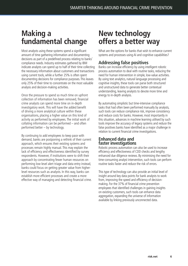### **Making a fundamental change**

Most analysts using these systems spend a significant amount of time gathering information and documenting decisions as part of a predefined process relating to banks' compliance needs. Industry estimates gathered by IBM indicate analysts can spend up to half of their time collecting the necessary information about customers and transactions using current tools, while a further 25% is often spent documenting decisions for compliance purposes. This leaves only 25% of their time to concentrate on the most valuable analysis and decision-making activities.

Once the pressure to spend so much time on upfront collection of information has been removed, financial crime analysts can spend more time on in-depth investigatory work. This will have the added benefit of driving a more analytical culture within these organisations, placing a higher value on this kind of activity as performed by employees. The initial work of collating information can be performed – and often performed better – by technology.

By continuing to add employees to keep pace with demand, banks are postponing a rethink of their current approach, which ensures their existing systems and processes remain highly manual. This may explain the lack of efficiency and effectiveness identified by survey respondents. However, if institutions were to shift their approach by concentrating fewer human resources on performing low-level alert triage and data entry instead, banks could focus on getting greater value from higherlevel resources such as analysts. In this way, banks can establish more efficient processes and create a more effective way of managing and detecting financial crime.

### **New technology offers a better way**

What are the options for banks that wish to enhance current systems and processes using AI and cognitive capabilities?

### **Addressing false positives**

Banks can increase efficiency by using intelligent robotic process automation to deal with routine tasks, reducing the need for human intervention in simple, low-value activities. By using text analytics, natural language processing and cognitive insights, these tools can parse both structured and unstructured data to generate better contextual understanding, leaving analysts to devote more time and energy to in-depth analysis.

By automating simplistic but time-intensive compliance tasks that had often been performed manually by analysts, such tools can reduce compliance risk, improve consistency and reduce costs for banks. However, most importantly in this situation, advances in machine learning utilised by such tools improve the accuracy of legacy systems and reduce the false positives banks have identified as a major challenge in relation to current financial crime investigations.

### **Enhanced data and faster investigations**

Robotic process automation can also be used to increase efficiency and effectiveness of CDD checks and lengthy enhanced due diligence reviews. By minimising the need for time-consuming analyst intervention, such tools can perform routine tasks faster and reduce the risk of errors.

This type of technology can also provide an initial level of insight around key data points for bank analysts to work from, improving the speed and efficiency of decisionmaking. For the 37% of financial crime prevention employees that identified challenges in gaining insights on existing customers, such tools can enhance data aggregation, expanding the universe of information available by linking previously unconnected data.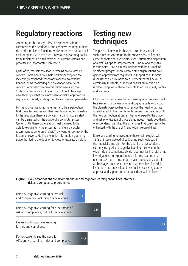### **Regulatory reactions**

According to the survey, 14% of respondents do not currently see the need for AI and cognitive learning in their risk and compliance functions, while more than half are still evaluating its use in this area. So what is preventing banks from implementing a full overhaul of current systems and processes to incorporate such tools?

Quite often, regulatory response remains an overarching concern. Some banks have held back from adopting the increasingly advanced technology available to enhance financial crime monitoring and prevention because of concerns around how regulators might view such tools. Such organisations might be unsure of how to leverage new techniques that have not been 'officially' approved by regulators to satisfy existing compliance rules and parameters.

For many organisations, there may also be a perception that these techniques and their results are not 'explainable' to the regulator. There are concerns around how an alert can be dismissed on the advice of a computer system. Quite rightly, these organisations feel the need to be able to explain why the system is making a particular recommendation to an analyst. They want full control of the factors uncovered during the initial information-gathering stage that led to the decision to close or escalate an alert.

### **Testing new techniques**

The push to innovate in this space continues in spite of such concerns. According to the survey, 56% of financial crime analysts and investigators see "automated disposition of alerts" as ripe for improvement using AI and cognitive technologies. IBM is already working with banks making significant progress in this area. Some organisations have gained approval from regulators in support of automatic dismissal of alerts relating to customers that fall below a certain risk threshold, as long as checks are made on a random sampling of these accounts to ensure quality control and accuracy.

Most practitioners agree that addressing false positives should be a key aim for the use of AI and cognitive technology, with the ultimate objective being to remove the need to dismiss an alert at all. In the short term this remains aspirational, with the next best option at present being to expedite the triage and risk prioritisation of those alerts. Indeed, nearly two-thirds of respondents identified this as an area that could readily be enhanced with the use of AI and cognitive capabilities.

Banks are starting to investigate these technologies, with 13% of those surveyed already using such tools within the financial crime unit. For the one-fifth of respondents currently using AI and cognitive learning tools within the wider risk and compliance division, but not for financial crime investigations, an expansion into this area is a potential next step. As such, those that remain cautious or sceptical at this stage could be left behind as competitive financial institutions start to seek and eventually receive regulatory approval and support for automatic dismissal of alerts.

#### **Figure 5** How organisations are incorporating AI and cognitive learning capabilities into their risk and compliance programmes

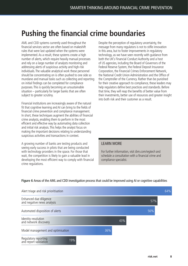# **Pushing the financial crime boundaries**

AML and CDD systems currently used throughout the financial services sector are often based on makeshift rules that were last updated when the systems were implemented. As a result, these systems create a high number of alerts, which require heavily manual processes and rely on a large number of analysts monitoring and addressing alerts of suspicious activity and high-risk individuals. The valuable analytical work these personnel should be concentrating on is often pushed to one side so mundane and manual tasks such as collecting and reporting on initial findings can be completed for compliance purposes. This is quickly becoming an unsustainable situation – particularly for larger banks that are often subject to greater scrutiny.

Financial institutions are increasingly aware of the natural fit that cognitive learning and AI can bring to the fields of financial crime prevention and compliance management. In short, these techniques augment the abilities of financial crime analysts, enabling them to perform in the most efficient and effective way by automating data collection and initial risk analysis. This helps the analyst focus on making the important decisions relating to understanding suspicious activities and transactions in context.

A growing number of banks are testing products and seeing early success in pilots that are being conducted with technology providers in the space. For those that wait, the competition is likely to gain a valuable lead in developing the most efficient way to comply with financial crime regulations.

Despite the perception of regulatory uncertainty, the message from many regulators is not to stifle innovation in this area, but to foster improvements in regulatory technology, as we have seen recently with guidance from both the UK's Financial Conduct Authority and a host of US agencies, including the Board of Governors of the Federal Reserve System, the Federal Deposit Insurance Corporation, the Financial Crimes Enforcement Network, the National Credit Union Administration and the Office of the Comptroller of the Currency. Rather than be punished for their creative approach to compliance, these leaders may help regulators define best practices and standards. Before that time, they will reap the benefits of better value from their investments, better use of resources and greater insight into both risk and their customer as a result.

#### LEARN MORE

For further information, visit ibm.com/regtech and schedule a consultation with a financial crime and compliance specialist.



#### **Figure 6** Areas of the AML and CDD investigation process that could be improved using AI or cognitive capabilities